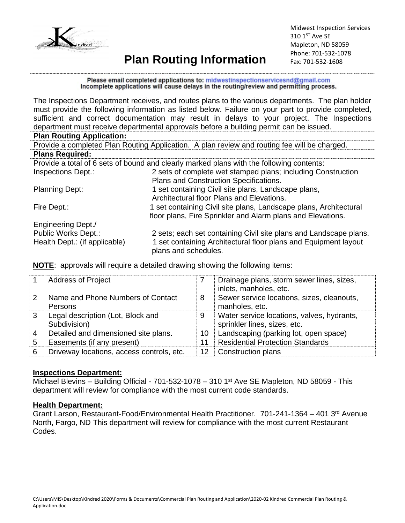

## **Plan Routing Information**

Midwest Inspection Services 310 1<sup>ST</sup> Ave SE Mapleton, ND 58059 Phone: 701-532-1078 Fax: 701-532-1608

Please email completed applications to: midwestinspectionservicesnd@gmail.com Incomplete applications will cause delays in the routing/review and permitting process.

The Inspections Department receives, and routes plans to the various departments. The plan holder must provide the following information as listed below. Failure on your part to provide completed, sufficient and correct documentation may result in delays to your project. The Inspections department must receive departmental approvals before a building permit can be issued.

#### **Plan Routing Application:**

|                                                                                          | Provide a completed Plan Routing Application. A plan review and routing fee will be charged. |  |  |  |  |  |
|------------------------------------------------------------------------------------------|----------------------------------------------------------------------------------------------|--|--|--|--|--|
| <b>Plans Required:</b>                                                                   |                                                                                              |  |  |  |  |  |
| Provide a total of 6 sets of bound and clearly marked plans with the following contents: |                                                                                              |  |  |  |  |  |
| <b>Inspections Dept.:</b>                                                                | 2 sets of complete wet stamped plans; including Construction                                 |  |  |  |  |  |
| Plans and Construction Specifications.                                                   |                                                                                              |  |  |  |  |  |
| <b>Planning Dept:</b>                                                                    | 1 set containing Civil site plans, Landscape plans,                                          |  |  |  |  |  |
|                                                                                          | Architectural floor Plans and Elevations.                                                    |  |  |  |  |  |
| Fire Dept.:                                                                              | 1 set containing Civil site plans, Landscape plans, Architectural                            |  |  |  |  |  |
|                                                                                          | floor plans, Fire Sprinkler and Alarm plans and Elevations.                                  |  |  |  |  |  |
| <b>Engineering Dept./</b>                                                                |                                                                                              |  |  |  |  |  |
| Public Works Dept.:                                                                      | 2 sets; each set containing Civil site plans and Landscape plans.                            |  |  |  |  |  |
| Health Dept.: (if applicable)                                                            | 1 set containing Architectural floor plans and Equipment layout                              |  |  |  |  |  |
|                                                                                          | plans and schedules.                                                                         |  |  |  |  |  |

**NOTE**: approvals will require a detailed drawing showing the following items:

|   | <b>Address of Project</b>                         |    | Drainage plans, storm sewer lines, sizes,<br>inlets, manholes, etc.        |
|---|---------------------------------------------------|----|----------------------------------------------------------------------------|
| 2 | Name and Phone Numbers of Contact<br>Persons      | 8  | Sewer service locations, sizes, cleanouts,<br>manholes, etc.               |
| 3 | Legal description (Lot, Block and<br>Subdivision) | 9  | Water service locations, valves, hydrants,<br>sprinkler lines, sizes, etc. |
|   | Detailed and dimensioned site plans.              | 10 | Landscaping (parking lot, open space)                                      |
| 5 | Easements (if any present)                        | 11 | <b>Residential Protection Standards</b>                                    |
| 6 | Driveway locations, access controls, etc.         | 12 | Construction plans                                                         |

#### **Inspections Department:**

Michael Blevins – Building Official - 701-532-1078 – 310 1st Ave SE Mapleton, ND 58059 - This department will review for compliance with the most current code standards.

#### **Health Department:**

Grant Larson, Restaurant-Food/Environmental Health Practitioner. 701-241-1364 – 401 3rd Avenue North, Fargo, ND This department will review for compliance with the most current Restaurant Codes.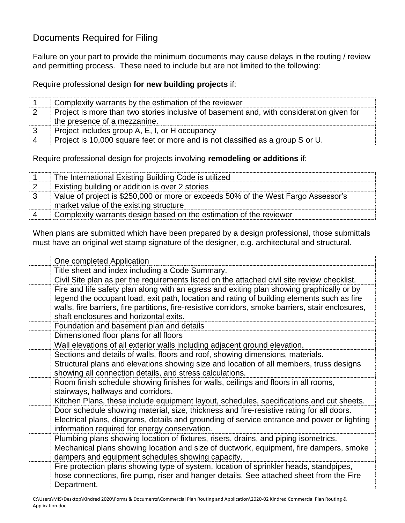## Documents Required for Filing

Failure on your part to provide the minimum documents may cause delays in the routing / review and permitting process. These need to include but are not limited to the following:

Require professional design **for new building projects** if:

|                        | Complexity warrants by the estimation of the reviewer                                    |
|------------------------|------------------------------------------------------------------------------------------|
| $\cdot$ 2              | Project is more than two stories inclusive of basement and, with consideration given for |
|                        | the presence of a mezzanine.                                                             |
| $\mathbf{3}$           | Project includes group A, E, I, or H occupancy                                           |
| $\boldsymbol{\Lambda}$ | Project is 10,000 square feet or more and is not classified as a group S or U.           |

Require professional design for projects involving **remodeling or additions** if:

|           | The International Existing Building Code is utilized                              |
|-----------|-----------------------------------------------------------------------------------|
| $\vert$ 2 | Existing building or addition is over 2 stories                                   |
| ⊢3        | Value of project is \$250,000 or more or exceeds 50% of the West Fargo Assessor's |
|           | market value of the existing structure                                            |
| -4        | Complexity warrants design based on the estimation of the reviewer                |

When plans are submitted which have been prepared by a design professional, those submittals must have an original wet stamp signature of the designer, e.g. architectural and structural.

| One completed Application                                                                          |
|----------------------------------------------------------------------------------------------------|
| Title sheet and index including a Code Summary.                                                    |
| Civil Site plan as per the requirements listed on the attached civil site review checklist.        |
| Fire and life safety plan along with an egress and exiting plan showing graphically or by          |
| legend the occupant load, exit path, location and rating of building elements such as fire         |
| walls, fire barriers, fire partitions, fire-resistive corridors, smoke barriers, stair enclosures, |
| shaft enclosures and horizontal exits.                                                             |
| Foundation and basement plan and details                                                           |
| Dimensioned floor plans for all floors                                                             |
| Wall elevations of all exterior walls including adjacent ground elevation.                         |
| Sections and details of walls, floors and roof, showing dimensions, materials.                     |
| Structural plans and elevations showing size and location of all members, truss designs            |
| showing all connection details, and stress calculations.                                           |
| Room finish schedule showing finishes for walls, ceilings and floors in all rooms,                 |
| stairways, hallways and corridors.                                                                 |
| Kitchen Plans, these include equipment layout, schedules, specifications and cut sheets.           |
| Door schedule showing material, size, thickness and fire-resistive rating for all doors.           |
| Electrical plans, diagrams, details and grounding of service entrance and power or lighting        |
| information required for energy conservation.                                                      |
| Plumbing plans showing location of fixtures, risers, drains, and piping isometrics.                |
| Mechanical plans showing location and size of ductwork, equipment, fire dampers, smoke             |
| dampers and equipment schedules showing capacity.                                                  |
| Fire protection plans showing type of system, location of sprinkler heads, standpipes,             |
| hose connections, fire pump, riser and hanger details. See attached sheet from the Fire            |
| Department.                                                                                        |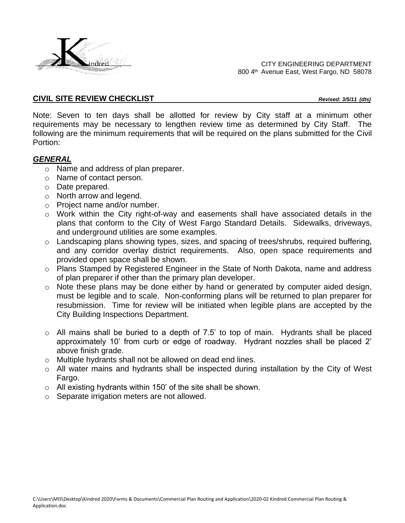

CITY ENGINEERING DEPARTMENT 800 4<sup>th</sup> Avenue East, West Fargo, ND 58078

#### **CIVIL SITE REVIEW CHECKLIST** *Revised: 3/5/11 (dts)*

Note: Seven to ten days shall be allotted for review by City staff at a minimum other requirements may be necessary to lengthen review time as determined by City Staff. The following are the minimum requirements that will be required on the plans submitted for the Civil Portion:

#### *GENERAL*

- o Name and address of plan preparer.
- o Name of contact person.
- o Date prepared.
- o North arrow and legend.
- o Project name and/or number.
- o Work within the City right-of-way and easements shall have associated details in the plans that conform to the City of West Fargo Standard Details. Sidewalks, driveways, and underground utilities are some examples.
- o Landscaping plans showing types, sizes, and spacing of trees/shrubs, required buffering, and any corridor overlay district requirements. Also, open space requirements and provided open space shall be shown.
- o Plans Stamped by Registered Engineer in the State of North Dakota, name and address of plan preparer if other than the primary plan developer.
- o Note these plans may be done either by hand or generated by computer aided design, must be legible and to scale. Non-conforming plans will be returned to plan preparer for resubmission. Time for review will be initiated when legible plans are accepted by the City Building Inspections Department.
- $\circ$  All mains shall be buried to a depth of 7.5' to top of main. Hydrants shall be placed approximately 10' from curb or edge of roadway. Hydrant nozzles shall be placed 2' above finish grade.
- o Multiple hydrants shall not be allowed on dead end lines.
- o All water mains and hydrants shall be inspected during installation by the City of West Fargo.
- o All existing hydrants within 150' of the site shall be shown.
- o Separate irrigation meters are not allowed.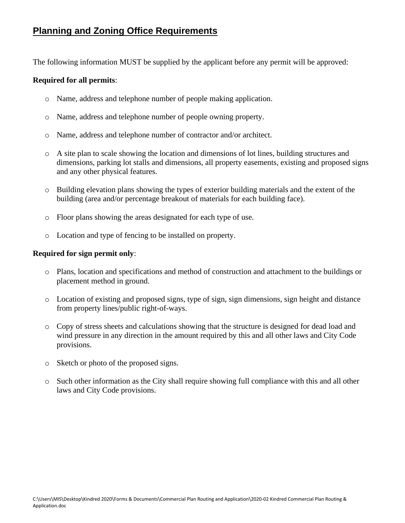### **Planning and Zoning Office Requirements**

The following information MUST be supplied by the applicant before any permit will be approved:

#### **Required for all permits**:

- o Name, address and telephone number of people making application.
- o Name, address and telephone number of people owning property.
- o Name, address and telephone number of contractor and/or architect.
- o A site plan to scale showing the location and dimensions of lot lines, building structures and dimensions, parking lot stalls and dimensions, all property easements, existing and proposed signs and any other physical features.
- $\circ$  Building elevation plans showing the types of exterior building materials and the extent of the building (area and/or percentage breakout of materials for each building face).
- o Floor plans showing the areas designated for each type of use.
- o Location and type of fencing to be installed on property.

#### **Required for sign permit only**:

- o Plans, location and specifications and method of construction and attachment to the buildings or placement method in ground.
- o Location of existing and proposed signs, type of sign, sign dimensions, sign height and distance from property lines/public right-of-ways.
- o Copy of stress sheets and calculations showing that the structure is designed for dead load and wind pressure in any direction in the amount required by this and all other laws and City Code provisions.
- o Sketch or photo of the proposed signs.
- o Such other information as the City shall require showing full compliance with this and all other laws and City Code provisions.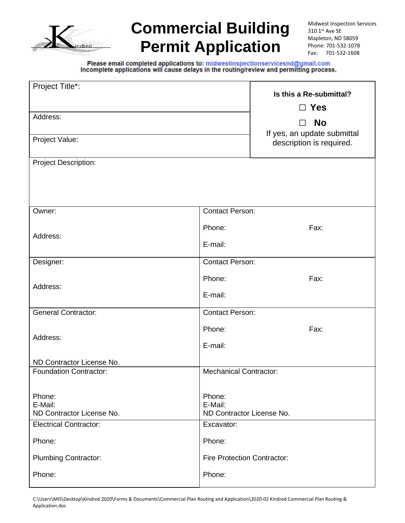

# **Commercial Building Permit Application**

Midwest Inspection Services 310 1st Ave SE Mapleton, ND 58059 Phone: 701-532-1078 Fax: 701-532-1608

Please email completed applications to: midwestinspectionservicesnd@gmail.com<br>Incomplete applications will cause delays in the routing/review and permitting process.

| Project Title*:                                | Is this a Re-submittal?<br>$\Box$ Yes                   |      |  |  |
|------------------------------------------------|---------------------------------------------------------|------|--|--|
| Address:                                       | <b>No</b><br>П                                          |      |  |  |
| Project Value:                                 | If yes, an update submittal<br>description is required. |      |  |  |
| <b>Project Description:</b>                    |                                                         |      |  |  |
|                                                |                                                         |      |  |  |
| Owner:                                         | <b>Contact Person:</b>                                  |      |  |  |
|                                                | Phone:                                                  | Fax: |  |  |
| Address:                                       | E-mail:                                                 |      |  |  |
| Designer:                                      | <b>Contact Person:</b>                                  |      |  |  |
| Address:                                       | Phone:                                                  | Fax: |  |  |
|                                                | E-mail:                                                 |      |  |  |
| <b>General Contractor:</b>                     | <b>Contact Person:</b>                                  |      |  |  |
| Address:                                       | Phone:                                                  | Fax: |  |  |
|                                                | E-mail:                                                 |      |  |  |
| ND Contractor License No.                      |                                                         |      |  |  |
| <b>Foundation Contractor:</b>                  | <b>Mechanical Contractor:</b>                           |      |  |  |
| Phone:<br>E-Mail:<br>ND Contractor License No. | Phone:<br>E-Mail:<br>ND Contractor License No.          |      |  |  |
| <b>Electrical Contractor:</b>                  | Excavator:                                              |      |  |  |
| Phone:                                         | Phone:                                                  |      |  |  |
| <b>Plumbing Contractor:</b>                    | <b>Fire Protection Contractor:</b>                      |      |  |  |
| Phone:                                         | Phone:                                                  |      |  |  |

C:\Users\MIS\Desktop\Kindred 2020\Forms & Documents\Commercial Plan Routing and Application\2020-02 Kindred Commercial Plan Routing & Application.doc